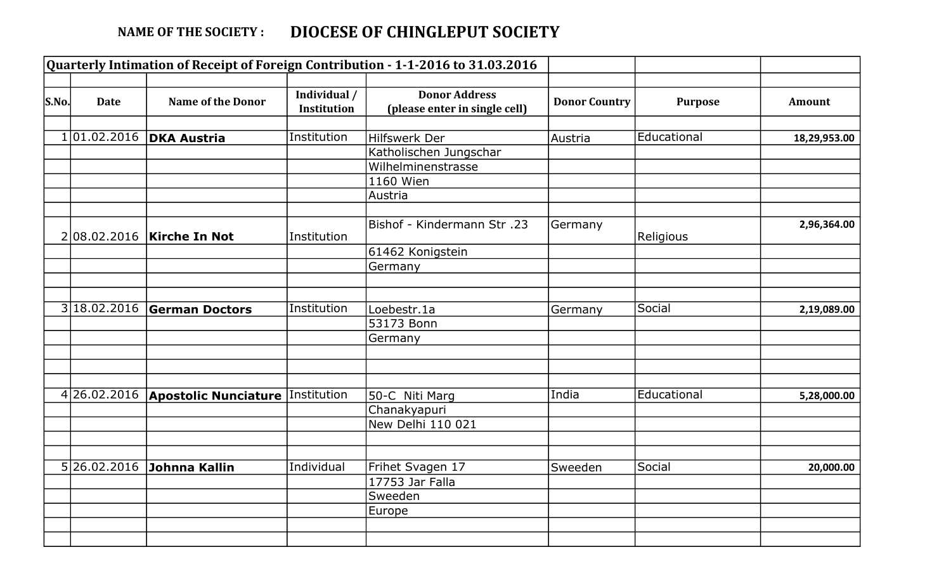## NAME OF THE SOCIETY : DIOCESE OF CHINGLEPUT SOCIETY

|       |              |                                         |                             | Quarterly Intimation of Receipt of Foreign Contribution - 1-1-2016 to 31.03.2016 |                      |                |               |
|-------|--------------|-----------------------------------------|-----------------------------|----------------------------------------------------------------------------------|----------------------|----------------|---------------|
| S.No. | <b>Date</b>  | <b>Name of the Donor</b>                | Individual /<br>Institution | <b>Donor Address</b><br>(please enter in single cell)                            | <b>Donor Country</b> | <b>Purpose</b> | <b>Amount</b> |
|       |              | 101.02.2016   DKA Austria               | Institution                 | Hilfswerk Der                                                                    | Austria              | Educational    | 18,29,953.00  |
|       |              |                                         |                             | Katholischen Jungschar                                                           |                      |                |               |
|       |              |                                         |                             | Wilhelminenstrasse                                                               |                      |                |               |
|       |              |                                         |                             |                                                                                  |                      |                |               |
|       |              |                                         |                             | 1160 Wien                                                                        |                      |                |               |
|       |              |                                         |                             | Austria                                                                          |                      |                |               |
|       |              | 208.02.2016   Kirche In Not             | Institution                 | <b>Bishof - Kindermann Str.23</b>                                                | Germany              | Religious      | 2,96,364.00   |
|       |              |                                         |                             | 61462 Konigstein                                                                 |                      |                |               |
|       |              |                                         |                             | Germany                                                                          |                      |                |               |
|       |              |                                         |                             |                                                                                  |                      |                |               |
|       | 3 18.02.2016 | <b>German Doctors</b>                   | Institution                 | Loebestr.1a                                                                      | Germany              | Social         | 2,19,089.00   |
|       |              |                                         |                             | 53173 Bonn                                                                       |                      |                |               |
|       |              |                                         |                             | Germany                                                                          |                      |                |               |
|       |              |                                         |                             |                                                                                  |                      |                |               |
|       |              |                                         |                             |                                                                                  |                      |                |               |
|       | 4 26.02.2016 | <b>Apostolic Nunciature Institution</b> |                             | 50-C Niti Marg                                                                   | India                | Educational    | 5,28,000.00   |
|       |              |                                         |                             | Chanakyapuri                                                                     |                      |                |               |
|       |              |                                         |                             | New Delhi 110 021                                                                |                      |                |               |
|       |              |                                         |                             |                                                                                  |                      |                |               |
|       |              | 5 26.02.2016 Johnna Kallin              | Individual                  | Frihet Svagen 17                                                                 | Sweeden              | Social         | 20,000.00     |
|       |              |                                         |                             | $17753$ Jar Falla                                                                |                      |                |               |
|       |              |                                         |                             | Sweeden                                                                          |                      |                |               |
|       |              |                                         |                             | Europe                                                                           |                      |                |               |
|       |              |                                         |                             |                                                                                  |                      |                |               |
|       |              |                                         |                             |                                                                                  |                      |                |               |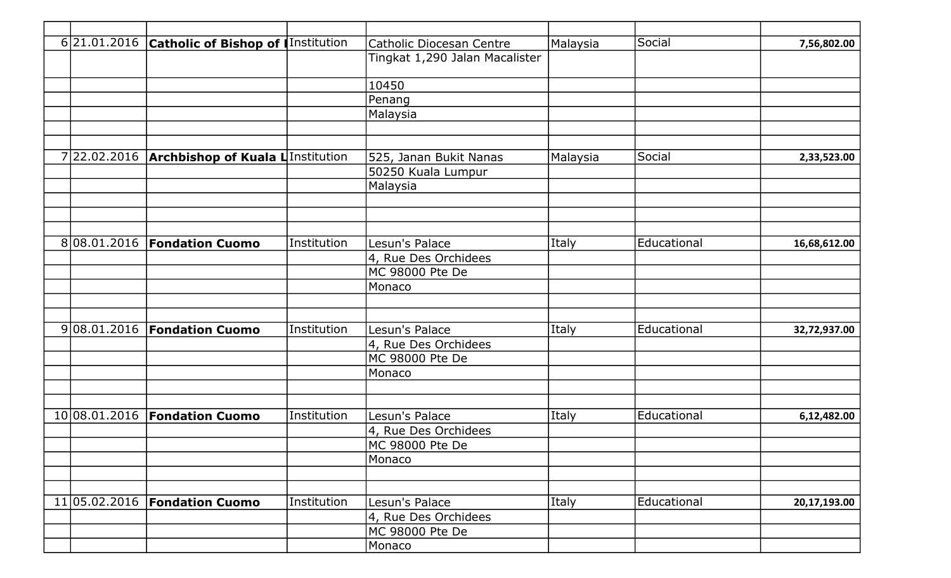|  | 6 21.01.2016  | <b>Catholic of Bishop of Institution</b> |             | Catholic Diocesan Centre       | Malaysia | Social      | 7,56,802.00  |
|--|---------------|------------------------------------------|-------------|--------------------------------|----------|-------------|--------------|
|  |               |                                          |             | Tingkat 1,290 Jalan Macalister |          |             |              |
|  |               |                                          |             | 10450                          |          |             |              |
|  |               |                                          |             | Penang                         |          |             |              |
|  |               |                                          |             | Malaysia                       |          |             |              |
|  |               |                                          |             |                                |          |             |              |
|  |               |                                          |             |                                |          |             |              |
|  | 722.02.2016   | <b>Archbishop of Kuala L</b> Institution |             | 525, Janan Bukit Nanas         | Malaysia | Social      | 2,33,523.00  |
|  |               |                                          |             | 50250 Kuala Lumpur             |          |             |              |
|  |               |                                          |             | Malaysia                       |          |             |              |
|  |               |                                          |             |                                |          |             |              |
|  |               |                                          |             |                                |          |             |              |
|  |               | 808.01.2016   Fondation Cuomo            | Institution | Lesun's Palace                 | Italy    | Educational | 16,68,612.00 |
|  |               |                                          |             | 4, Rue Des Orchidees           |          |             |              |
|  |               |                                          |             | MC 98000 Pte De                |          |             |              |
|  |               |                                          |             | Monaco                         |          |             |              |
|  |               |                                          |             |                                |          |             |              |
|  |               | 9 08.01.2016   Fondation Cuomo           | Institution | Lesun's Palace                 | Italy    | Educational | 32,72,937.00 |
|  |               |                                          |             | 4, Rue Des Orchidees           |          |             |              |
|  |               |                                          |             | MC 98000 Pte De                |          |             |              |
|  |               |                                          |             | Monaco                         |          |             |              |
|  |               |                                          |             |                                |          |             |              |
|  | 10 08.01.2016 | <b>Fondation Cuomo</b>                   | Institution | Lesun's Palace                 | Italy    | Educational | 6,12,482.00  |
|  |               |                                          |             | 4, Rue Des Orchidees           |          |             |              |
|  |               |                                          |             | MC 98000 Pte De                |          |             |              |
|  |               |                                          |             | Monaco                         |          |             |              |
|  |               |                                          |             |                                |          |             |              |
|  |               |                                          |             |                                |          |             |              |
|  |               | 11 05.02.2016   Fondation Cuomo          | Institution | Lesun's Palace                 | Italy    | Educational | 20,17,193.00 |
|  |               |                                          |             | 4, Rue Des Orchidees           |          |             |              |
|  |               |                                          |             | MC 98000 Pte De                |          |             |              |
|  |               |                                          |             | Monaco                         |          |             |              |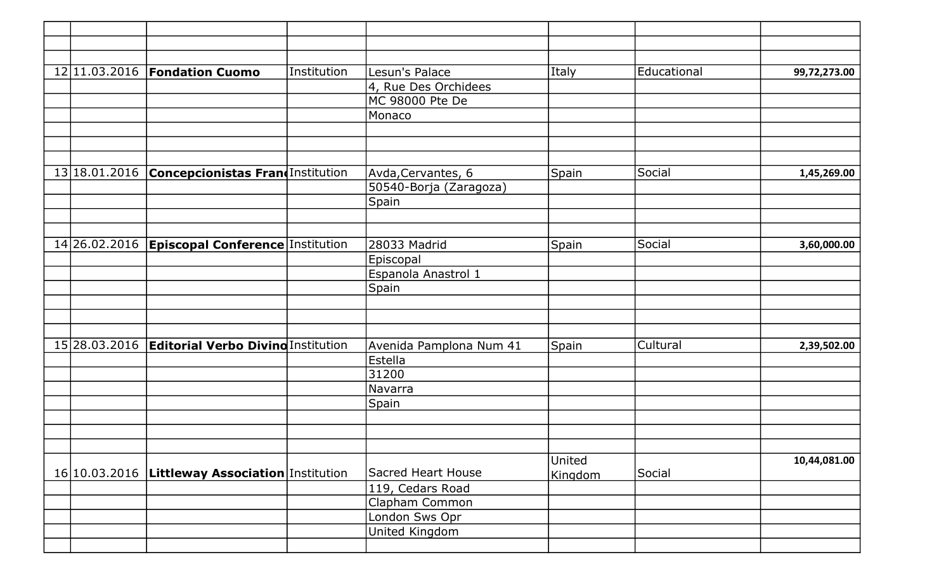|  | 12 11.03.2016   Fondation Cuomo                     | Institution | Lesun's Palace                     | Italy   | Educational | 99,72,273.00 |
|--|-----------------------------------------------------|-------------|------------------------------------|---------|-------------|--------------|
|  |                                                     |             | 4, Rue Des Orchidees               |         |             |              |
|  |                                                     |             | MC 98000 Pte De                    |         |             |              |
|  |                                                     |             | Monaco                             |         |             |              |
|  |                                                     |             |                                    |         |             |              |
|  |                                                     |             |                                    |         |             |              |
|  |                                                     |             |                                    |         |             |              |
|  | 13 18.01.2016 Concepcionistas Frand Institution     |             | Avda, Cervantes, 6                 | Spain   | Social      | 1,45,269.00  |
|  |                                                     |             | 50540-Borja (Zaragoza)             |         |             |              |
|  |                                                     |             | Spain                              |         |             |              |
|  |                                                     |             |                                    |         |             |              |
|  |                                                     |             |                                    |         |             |              |
|  | 14 26.02.2016   Episcopal Conference   Institution  |             | 28033 Madrid                       | Spain   | Social      | 3,60,000.00  |
|  |                                                     |             | Episcopal                          |         |             |              |
|  |                                                     |             | Espanola Anastrol 1                |         |             |              |
|  |                                                     |             | Spain                              |         |             |              |
|  |                                                     |             |                                    |         |             |              |
|  |                                                     |             |                                    |         |             |              |
|  |                                                     |             |                                    |         |             |              |
|  | 15 28.03.2016   Editorial Verbo Divino Institution  |             | Avenida Pamplona Num 41            | Spain   | Cultural    | 2,39,502.00  |
|  |                                                     |             | Estella                            |         |             |              |
|  |                                                     |             | 31200                              |         |             |              |
|  |                                                     |             | Navarra                            |         |             |              |
|  |                                                     |             | Spain                              |         |             |              |
|  |                                                     |             |                                    |         |             |              |
|  |                                                     |             |                                    |         |             |              |
|  |                                                     |             |                                    |         |             |              |
|  | 16 10.03.2016   Littleway Association   Institution |             | <b>Sacred Heart House</b>          | United  | Social      | 10,44,081.00 |
|  |                                                     |             |                                    | Kingdom |             |              |
|  |                                                     |             | 119, Cedars Road<br>Clapham Common |         |             |              |
|  |                                                     |             | London Sws Opr                     |         |             |              |
|  |                                                     |             | United Kingdom                     |         |             |              |
|  |                                                     |             |                                    |         |             |              |
|  |                                                     |             |                                    |         |             |              |